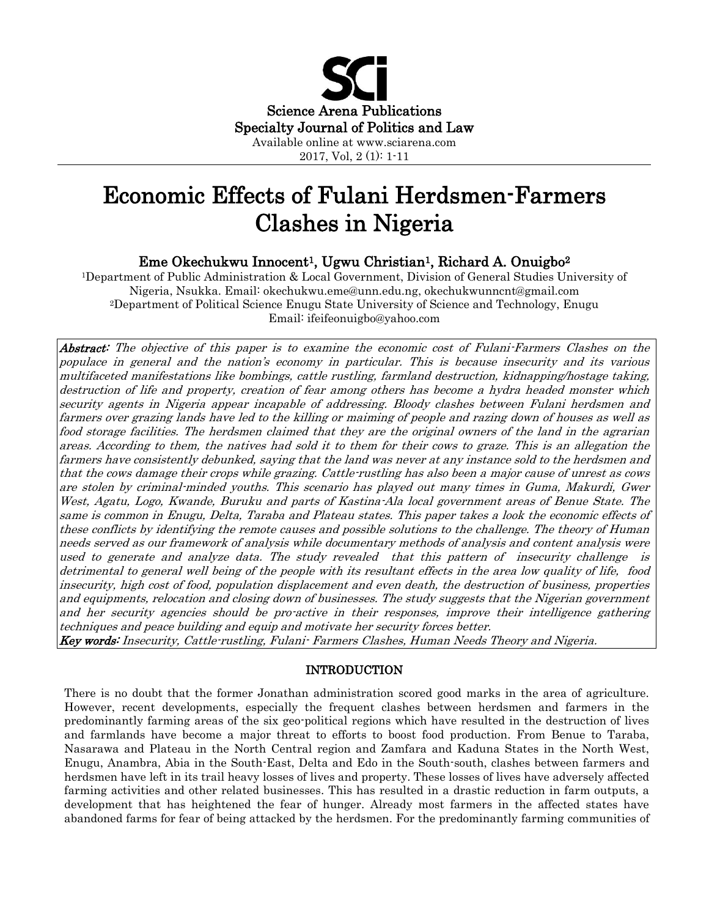

Economic Effects of Fulani Herdsmen-Farmers Clashes in Nigeria

Eme Okechukwu Innocent<sup>1</sup>, Ugwu Christian<sup>1</sup>, Richard A. Onuigbo<sup>2</sup>

<sup>1</sup>Department of Public Administration & Local Government, Division of General Studies University of Nigeria, Nsukka. Email: [okechukwu.eme@unn.edu.ng,](mailto:okechukwu.eme@unn.edu.ng) [okechukwunncnt@gmail.com](mailto:okechukwunncnt@gmail.com)  <sup>2</sup>Department of Political Science Enugu State University of Science and Technology, Enugu Email: [ifeifeonuigbo@yahoo.com](mailto:ifeifeonuigbo@yahoo.com) 

Abstract: The objective of this paper is to examine the economic cost of Fulani-Farmers Clashes on the populace in general and the nation's economy in particular. This is because insecurity and its various multifaceted manifestations like bombings, cattle rustling, farmland destruction, kidnapping/hostage taking, destruction of life and property, creation of fear among others has become a hydra headed monster which security agents in Nigeria appear incapable of addressing. Bloody clashes between Fulani herdsmen and farmers over grazing lands have led to the killing or maiming of people and razing down of houses as well as food storage facilities. The herdsmen claimed that they are the original owners of the land in the agrarian areas. According to them, the natives had sold it to them for their cows to graze. This is an allegation the farmers have consistently debunked, saying that the land was never at any instance sold to the herdsmen and that the cows damage their crops while grazing. Cattle-rustling has also been a major cause of unrest as cows are stolen by criminal-minded youths. This scenario has played out many times in Guma, Makurdi, Gwer West, Agatu, Logo, Kwande, Buruku and parts of Kastina-Ala local government areas of Benue State. The same is common in Enugu, Delta, Taraba and Plateau states. This paper takes a look the economic effects of these conflicts by identifying the remote causes and possible solutions to the challenge. The theory of Human needs served as our framework of analysis while documentary methods of analysis and content analysis were used to generate and analyze data. The study revealed that this pattern of insecurity challenge is detrimental to general well being of the people with its resultant effects in the area low quality of life, food insecurity, high cost of food, population displacement and even death, the destruction of business, properties and equipments, relocation and closing down of businesses. The study suggests that the Nigerian government and her security agencies should be pro-active in their responses, improve their intelligence gathering techniques and peace building and equip and motivate her security forces better.

Key words: Insecurity, Cattle-rustling, Fulani- Farmers Clashes, Human Needs Theory and Nigeria.

# INTRODUCTION

There is no doubt that the former Jonathan administration scored good marks in the area of agriculture. However, recent developments, especially the frequent clashes between herdsmen and farmers in the predominantly farming areas of the six geo-political regions which have resulted in the destruction of lives and farmlands have become a major threat to efforts to boost food production. From Benue to Taraba, Nasarawa and Plateau in the North Central region and Zamfara and Kaduna States in the North West, Enugu, Anambra, Abia in the South-East, Delta and Edo in the South-south, clashes between farmers and herdsmen have left in its trail heavy losses of lives and property. These losses of lives have adversely affected farming activities and other related businesses. This has resulted in a drastic reduction in farm outputs, a development that has heightened the fear of hunger. Already most farmers in the affected states have abandoned farms for fear of being attacked by the herdsmen. For the predominantly farming communities of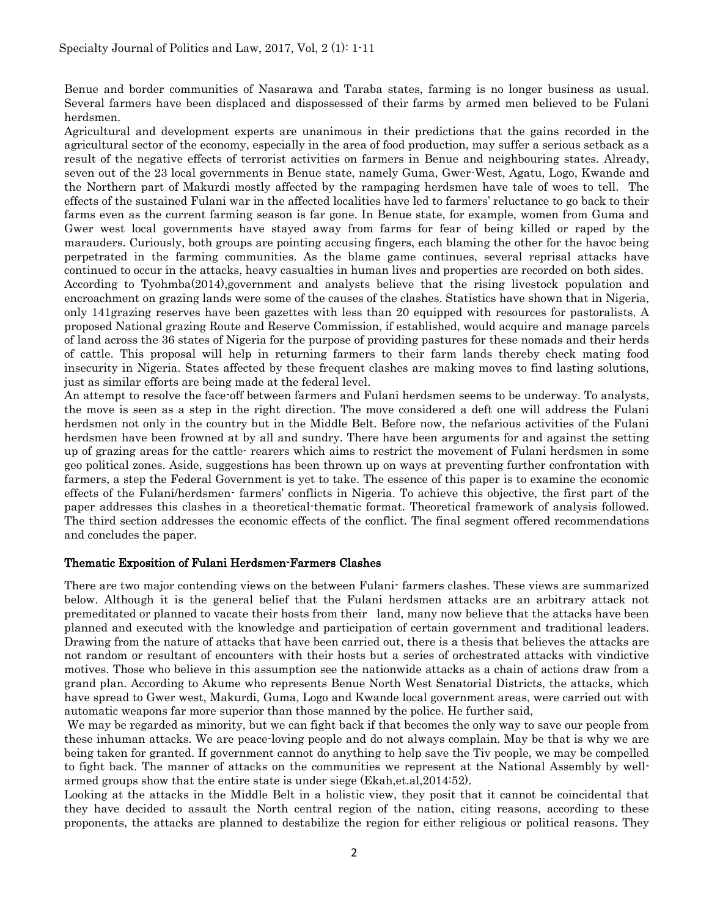Benue and border communities of Nasarawa and Taraba states, farming is no longer business as usual. Several farmers have been displaced and dispossessed of their farms by armed men believed to be Fulani herdsmen.

Agricultural and development experts are unanimous in their predictions that the gains recorded in the agricultural sector of the economy, especially in the area of food production, may suffer a serious setback as a result of the negative effects of terrorist activities on farmers in Benue and neighbouring states. Already, seven out of the 23 local governments in Benue state, namely Guma, Gwer-West, Agatu, Logo, Kwande and the Northern part of Makurdi mostly affected by the rampaging herdsmen have tale of woes to tell. The effects of the sustained Fulani war in the affected localities have led to farmers' reluctance to go back to their farms even as the current farming season is far gone. In Benue state, for example, women from Guma and Gwer west local governments have stayed away from farms for fear of being killed or raped by the marauders. Curiously, both groups are pointing accusing fingers, each blaming the other for the havoc being perpetrated in the farming communities. As the blame game continues, several reprisal attacks have continued to occur in the attacks, heavy casualties in human lives and properties are recorded on both sides. According to Tyohmba(2014),government and analysts believe that the rising livestock population and encroachment on grazing lands were some of the causes of the clashes. Statistics have shown that in Nigeria, only 141grazing reserves have been gazettes with less than 20 equipped with resources for pastoralists. A proposed National grazing Route and Reserve Commission, if established, would acquire and manage parcels of land across the 36 states of Nigeria for the purpose of providing pastures for these nomads and their herds of cattle. This proposal will help in returning farmers to their farm lands thereby check mating food insecurity in Nigeria. States affected by these frequent clashes are making moves to find lasting solutions, just as similar efforts are being made at the federal level.

An attempt to resolve the face-off between farmers and Fulani herdsmen seems to be underway. To analysts, the move is seen as a step in the right direction. The move considered a deft one will address the Fulani herdsmen not only in the country but in the Middle Belt. Before now, the nefarious activities of the Fulani herdsmen have been frowned at by all and sundry. There have been arguments for and against the setting up of grazing areas for the cattle- rearers which aims to restrict the movement of Fulani herdsmen in some geo political zones. Aside, suggestions has been thrown up on ways at preventing further confrontation with farmers, a step the Federal Government is yet to take. The essence of this paper is to examine the economic effects of the Fulani/herdsmen- farmers' conflicts in Nigeria. To achieve this objective, the first part of the paper addresses this clashes in a theoretical-thematic format. Theoretical framework of analysis followed. The third section addresses the economic effects of the conflict. The final segment offered recommendations and concludes the paper.

# Thematic Exposition of Fulani Herdsmen-Farmers Clashes

There are two major contending views on the between Fulani- farmers clashes. These views are summarized below. Although it is the general belief that the Fulani herdsmen attacks are an arbitrary attack not premeditated or planned to vacate their hosts from their land, many now believe that the attacks have been planned and executed with the knowledge and participation of certain government and traditional leaders. Drawing from the nature of attacks that have been carried out, there is a thesis that believes the attacks are not random or resultant of encounters with their hosts but a series of orchestrated attacks with vindictive motives. Those who believe in this assumption see the nationwide attacks as a chain of actions draw from a grand plan. According to Akume who represents Benue North West Senatorial Districts, the attacks, which have spread to Gwer west, Makurdi, Guma, Logo and Kwande local government areas, were carried out with automatic weapons far more superior than those manned by the police. He further said,

We may be regarded as minority, but we can fight back if that becomes the only way to save our people from these inhuman attacks. We are peace-loving people and do not always complain. May be that is why we are being taken for granted. If government cannot do anything to help save the Tiv people, we may be compelled to fight back. The manner of attacks on the communities we represent at the National Assembly by wellarmed groups show that the entire state is under siege (Ekah,et.al,2014:52).

Looking at the attacks in the Middle Belt in a holistic view, they posit that it cannot be coincidental that they have decided to assault the North central region of the nation, citing reasons, according to these proponents, the attacks are planned to destabilize the region for either religious or political reasons. They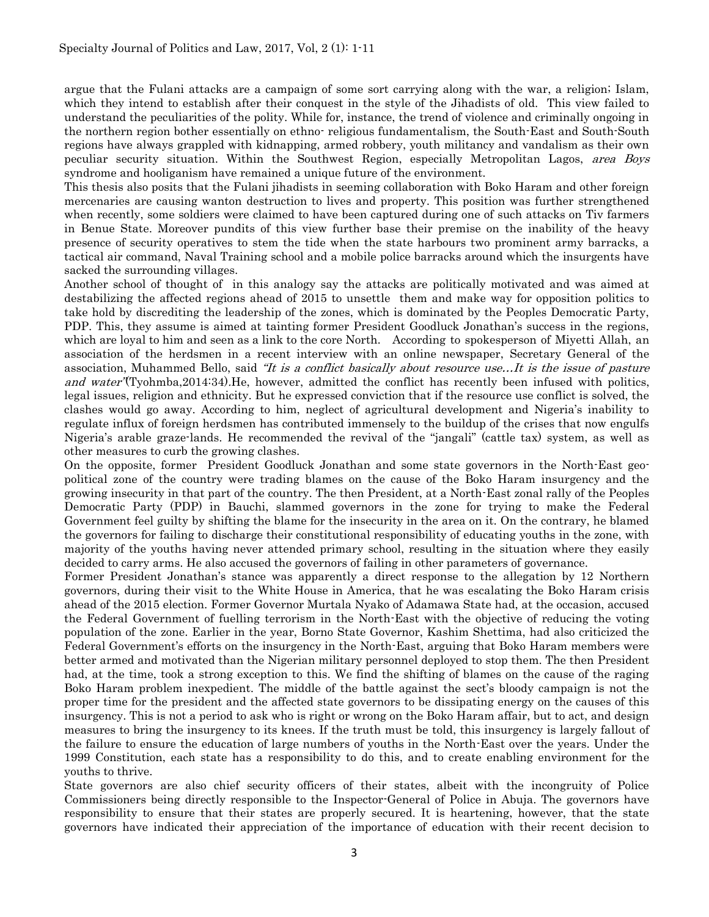argue that the Fulani attacks are a campaign of some sort carrying along with the war, a religion; Islam, which they intend to establish after their conquest in the style of the Jihadists of old. This view failed to understand the peculiarities of the polity. While for, instance, the trend of violence and criminally ongoing in the northern region bother essentially on ethno- religious fundamentalism, the South-East and South-South regions have always grappled with kidnapping, armed robbery, youth militancy and vandalism as their own peculiar security situation. Within the Southwest Region, especially Metropolitan Lagos, area Boys syndrome and hooliganism have remained a unique future of the environment.

This thesis also posits that the Fulani jihadists in seeming collaboration with Boko Haram and other foreign mercenaries are causing wanton destruction to lives and property. This position was further strengthened when recently, some soldiers were claimed to have been captured during one of such attacks on Tiv farmers in Benue State. Moreover pundits of this view further base their premise on the inability of the heavy presence of security operatives to stem the tide when the state harbours two prominent army barracks, a tactical air command, Naval Training school and a mobile police barracks around which the insurgents have sacked the surrounding villages.

Another school of thought of in this analogy say the attacks are politically motivated and was aimed at destabilizing the affected regions ahead of 2015 to unsettle them and make way for opposition politics to take hold by discrediting the leadership of the zones, which is dominated by the Peoples Democratic Party, PDP. This, they assume is aimed at tainting former President Goodluck Jonathan's success in the regions, which are loyal to him and seen as a link to the core North. According to spokesperson of Miyetti Allah, an association of the herdsmen in a recent interview with an online newspaper, Secretary General of the association, Muhammed Bello, said "It is a conflict basically about resource use…It is the issue of pasture and water'(Tyohmba, 2014:34). He, however, admitted the conflict has recently been infused with politics, legal issues, religion and ethnicity. But he expressed conviction that if the resource use conflict is solved, the clashes would go away. According to him, neglect of agricultural development and Nigeria's inability to regulate influx of foreign herdsmen has contributed immensely to the buildup of the crises that now engulfs Nigeria's arable graze-lands. He recommended the revival of the "jangali" (cattle tax) system, as well as other measures to curb the growing clashes.

On the opposite, former President Goodluck Jonathan and some state governors in the North-East geopolitical zone of the country were trading blames on the cause of the Boko Haram insurgency and the growing insecurity in that part of the country. The then President, at a North-East zonal rally of the Peoples Democratic Party (PDP) in Bauchi, slammed governors in the zone for trying to make the Federal Government feel guilty by shifting the blame for the insecurity in the area on it. On the contrary, he blamed the governors for failing to discharge their constitutional responsibility of educating youths in the zone, with majority of the youths having never attended primary school, resulting in the situation where they easily decided to carry arms. He also accused the governors of failing in other parameters of governance.

Former President Jonathan's stance was apparently a direct response to the allegation by 12 Northern governors, during their visit to the White House in America, that he was escalating the Boko Haram crisis ahead of the 2015 election. Former Governor Murtala Nyako of Adamawa State had, at the occasion, accused the Federal Government of fuelling terrorism in the North-East with the objective of reducing the voting population of the zone. Earlier in the year, Borno State Governor, Kashim Shettima, had also criticized the Federal Government's efforts on the insurgency in the North-East, arguing that Boko Haram members were better armed and motivated than the Nigerian military personnel deployed to stop them. The then President had, at the time, took a strong exception to this. We find the shifting of blames on the cause of the raging Boko Haram problem inexpedient. The middle of the battle against the sect's bloody campaign is not the proper time for the president and the affected state governors to be dissipating energy on the causes of this insurgency. This is not a period to ask who is right or wrong on the Boko Haram affair, but to act, and design measures to bring the insurgency to its knees. If the truth must be told, this insurgency is largely fallout of the failure to ensure the education of large numbers of youths in the North-East over the years. Under the 1999 Constitution, each state has a responsibility to do this, and to create enabling environment for the youths to thrive.

State governors are also chief security officers of their states, albeit with the incongruity of Police Commissioners being directly responsible to the Inspector-General of Police in Abuja. The governors have responsibility to ensure that their states are properly secured. It is heartening, however, that the state governors have indicated their appreciation of the importance of education with their recent decision to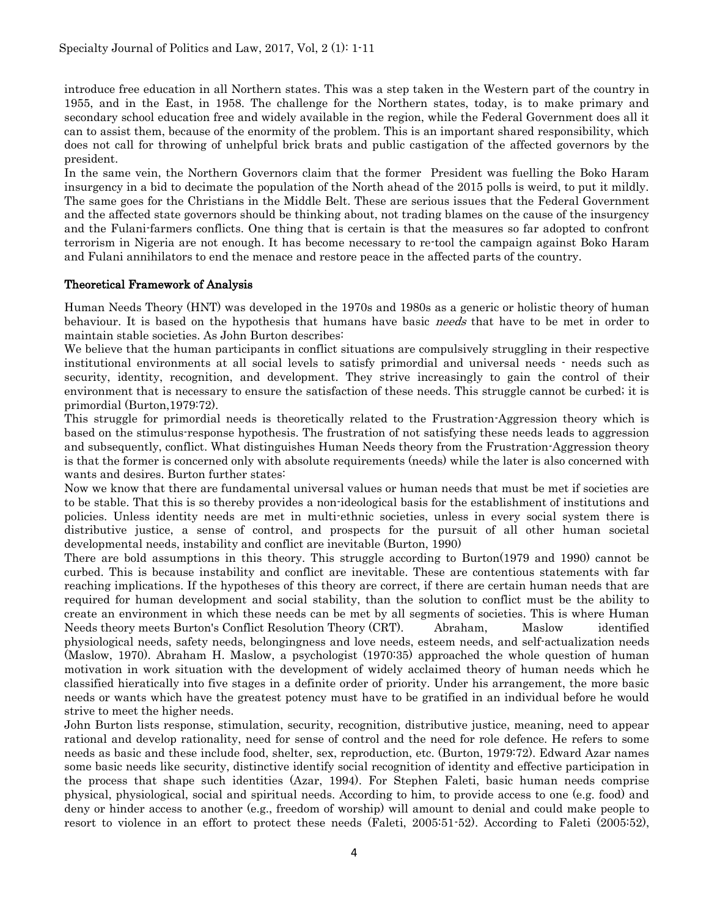introduce free education in all Northern states. This was a step taken in the Western part of the country in 1955, and in the East, in 1958. The challenge for the Northern states, today, is to make primary and secondary school education free and widely available in the region, while the Federal Government does all it can to assist them, because of the enormity of the problem. This is an important shared responsibility, which does not call for throwing of unhelpful brick brats and public castigation of the affected governors by the president.

In the same vein, the Northern Governors claim that the former President was fuelling the Boko Haram insurgency in a bid to decimate the population of the North ahead of the 2015 polls is weird, to put it mildly. The same goes for the Christians in the Middle Belt. These are serious issues that the Federal Government and the affected state governors should be thinking about, not trading blames on the cause of the insurgency and the Fulani-farmers conflicts. One thing that is certain is that the measures so far adopted to confront terrorism in Nigeria are not enough. It has become necessary to re-tool the campaign against Boko Haram and Fulani annihilators to end the menace and restore peace in the affected parts of the country.

#### Theoretical Framework of Analysis

Human Needs Theory (HNT) was developed in the 1970s and 1980s as a generic or holistic theory of human behaviour. It is based on the hypothesis that humans have basic *needs* that have to be met in order to maintain stable societies. As John Burton describes:

We believe that the human participants in conflict situations are compulsively struggling in their respective institutional environments at all social levels to satisfy primordial and universal needs - needs such as security, identity, recognition, and development. They strive increasingly to gain the control of their environment that is necessary to ensure the satisfaction of these needs. This struggle cannot be curbed; it is primordial (Burton,1979:72).

This struggle for primordial needs is theoretically related to the Frustration-Aggression theory which is based on the stimulus-response hypothesis. The frustration of not satisfying these needs leads to aggression and subsequently, conflict. What distinguishes Human Needs theory from the Frustration-Aggression theory is that the former is concerned only with absolute requirements (needs) while the later is also concerned with wants and desires. Burton further states:

Now we know that there are fundamental universal values or human needs that must be met if societies are to be stable. That this is so thereby provides a non-ideological basis for the establishment of institutions and policies. Unless identity needs are met in multi-ethnic societies, unless in every social system there is distributive justice, a sense of control, and prospects for the pursuit of all other human societal developmental needs, instability and conflict are inevitable (Burton, 1990)

There are bold assumptions in this theory. This struggle according to Burton(1979 and 1990) cannot be curbed. This is because instability and conflict are inevitable. These are contentious statements with far reaching implications. If the hypotheses of this theory are correct, if there are certain human needs that are required for human development and social stability, than the solution to conflict must be the ability to create an environment in which these needs can be met by all segments of societies. This is where Human Needs theory meets Burton's Conflict Resolution Theory (CRT). Abraham, Maslow identified physiological needs, safety needs, belongingness and love needs, esteem needs, and self-actualization needs (Maslow, 1970). Abraham H. Maslow, a psychologist (1970:35) approached the whole question of human motivation in work situation with the development of widely acclaimed theory of human needs which he classified hieratically into five stages in a definite order of priority. Under his arrangement, the more basic needs or wants which have the greatest potency must have to be gratified in an individual before he would strive to meet the higher needs.

John Burton lists response, stimulation, security, recognition, distributive justice, meaning, need to appear rational and develop rationality, need for sense of control and the need for role defence. He refers to some needs as basic and these include food, shelter, sex, reproduction, etc. (Burton, 1979:72). Edward Azar names some basic needs like security, distinctive identify social recognition of identity and effective participation in the process that shape such identities (Azar, 1994). For Stephen Faleti, basic human needs comprise physical, physiological, social and spiritual needs. According to him, to provide access to one (e.g. food) and deny or hinder access to another (e.g., freedom of worship) will amount to denial and could make people to resort to violence in an effort to protect these needs (Faleti, 2005:51-52). According to Faleti (2005:52),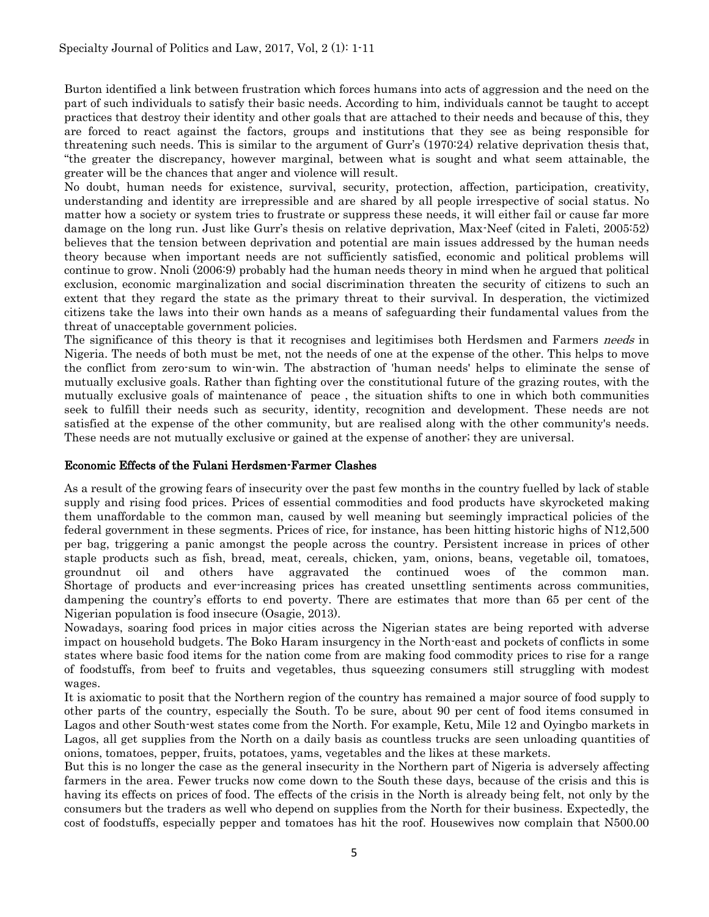Burton identified a link between frustration which forces humans into acts of aggression and the need on the part of such individuals to satisfy their basic needs. According to him, individuals cannot be taught to accept practices that destroy their identity and other goals that are attached to their needs and because of this, they are forced to react against the factors, groups and institutions that they see as being responsible for threatening such needs. This is similar to the argument of Gurr's (1970:24) relative deprivation thesis that, "the greater the discrepancy, however marginal, between what is sought and what seem attainable, the greater will be the chances that anger and violence will result.

No doubt, human needs for existence, survival, security, protection, affection, participation, creativity, understanding and identity are irrepressible and are shared by all people irrespective of social status. No matter how a society or system tries to frustrate or suppress these needs, it will either fail or cause far more damage on the long run. Just like Gurr's thesis on relative deprivation, Max-Neef (cited in Faleti, 2005:52) believes that the tension between deprivation and potential are main issues addressed by the human needs theory because when important needs are not sufficiently satisfied, economic and political problems will continue to grow. Nnoli (2006:9) probably had the human needs theory in mind when he argued that political exclusion, economic marginalization and social discrimination threaten the security of citizens to such an extent that they regard the state as the primary threat to their survival. In desperation, the victimized citizens take the laws into their own hands as a means of safeguarding their fundamental values from the threat of unacceptable government policies.

The significance of this theory is that it recognises and legitimises both Herdsmen and Farmers needs in Nigeria. The needs of both must be met, not the needs of one at the expense of the other. This helps to move the conflict from zero-sum to win-win. The abstraction of 'human needs' helps to eliminate the sense of mutually exclusive goals. Rather than fighting over the constitutional future of the grazing routes, with the mutually exclusive goals of maintenance of peace , the situation shifts to one in which both communities seek to fulfill their needs such as security, identity, recognition and development. These needs are not satisfied at the expense of the other community, but are realised along with the other community's needs. These needs are not mutually exclusive or gained at the expense of another; they are universal.

## Economic Effects of the Fulani Herdsmen-Farmer Clashes

As a result of the growing fears of insecurity over the past few months in the country fuelled by lack of stable supply and rising food prices. Prices of essential commodities and food products have skyrocketed making them unaffordable to the common man, caused by well meaning but seemingly impractical policies of the federal government in these segments. Prices of rice, for instance, has been hitting historic highs of N12,500 per bag, triggering a panic amongst the people across the country. Persistent increase in prices of other staple products such as fish, bread, meat, cereals, chicken, yam, onions, beans, vegetable oil, tomatoes, groundnut oil and others have aggravated the continued woes of the common man. Shortage of products and ever-increasing prices has created unsettling sentiments across communities, dampening the country's efforts to end poverty. There are estimates that more than 65 per cent of the Nigerian population is food insecure (Osagie, 2013).

Nowadays, soaring food prices in major cities across the Nigerian states are being reported with adverse impact on household budgets. The Boko Haram insurgency in the North-east and pockets of conflicts in some states where basic food items for the nation come from are making food commodity prices to rise for a range of foodstuffs, from beef to fruits and vegetables, thus squeezing consumers still struggling with modest wages.

It is axiomatic to posit that the Northern region of the country has remained a major source of food supply to other parts of the country, especially the South. To be sure, about 90 per cent of food items consumed in Lagos and other South-west states come from the North. For example, Ketu, Mile 12 and Oyingbo markets in Lagos, all get supplies from the North on a daily basis as countless trucks are seen unloading quantities of onions, tomatoes, pepper, fruits, potatoes, yams, vegetables and the likes at these markets.

But this is no longer the case as the general insecurity in the Northern part of Nigeria is adversely affecting farmers in the area. Fewer trucks now come down to the South these days, because of the crisis and this is having its effects on prices of food. The effects of the crisis in the North is already being felt, not only by the consumers but the traders as well who depend on supplies from the North for their business. Expectedly, the cost of foodstuffs, especially pepper and tomatoes has hit the roof. Housewives now complain that N500.00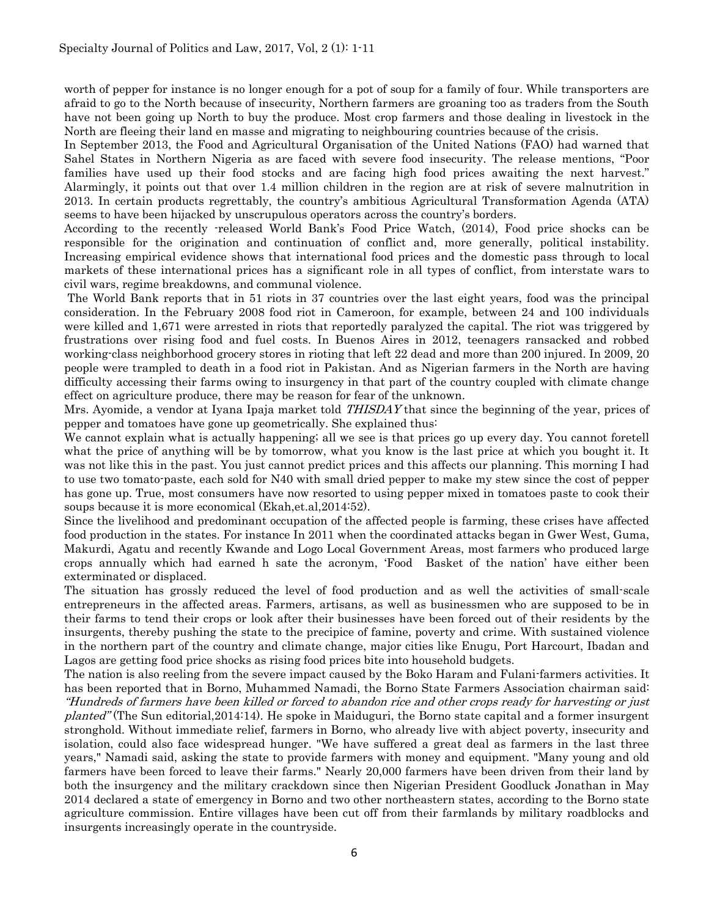worth of pepper for instance is no longer enough for a pot of soup for a family of four. While transporters are afraid to go to the North because of insecurity, Northern farmers are groaning too as traders from the South have not been going up North to buy the produce. Most crop farmers and those dealing in livestock in the North are fleeing their land en masse and migrating to neighbouring countries because of the crisis.

In September 2013, the Food and Agricultural Organisation of the United Nations (FAO) had warned that Sahel States in Northern Nigeria as are faced with severe food insecurity. The release mentions, "Poor families have used up their food stocks and are facing high food prices awaiting the next harvest." Alarmingly, it points out that over 1.4 million children in the region are at risk of severe malnutrition in 2013. In certain products regrettably, the country's ambitious Agricultural Transformation Agenda (ATA) seems to have been hijacked by unscrupulous operators across the country's borders.

According to the recently -released World Bank's Food Price Watch, (2014), Food price shocks can be responsible for the origination and continuation of conflict and, more generally, political instability. Increasing empirical evidence shows that international food prices and the domestic pass through to local markets of these international prices has a significant role in all types of conflict, from interstate wars to civil wars, regime breakdowns, and communal violence.

The World Bank reports that in 51 riots in 37 countries over the last eight years, food was the principal consideration. In the February 2008 food riot in Cameroon, for example, between 24 and 100 individuals were killed and 1,671 were arrested in riots that reportedly paralyzed the capital. The riot was triggered by frustrations over rising food and fuel costs. In Buenos Aires in 2012, teenagers ransacked and robbed working-class neighborhood grocery stores in rioting that left 22 dead and more than 200 injured. In 2009, 20 people were trampled to death in a food riot in Pakistan. And as Nigerian farmers in the North are having difficulty accessing their farms owing to insurgency in that part of the country coupled with climate change effect on agriculture produce, there may be reason for fear of the unknown.

Mrs. Ayomide, a vendor at Iyana Ipaja market told *THISDAY* that since the beginning of the year, prices of pepper and tomatoes have gone up geometrically. She explained thus:

We cannot explain what is actually happening; all we see is that prices go up every day. You cannot foretell what the price of anything will be by tomorrow, what you know is the last price at which you bought it. It was not like this in the past. You just cannot predict prices and this affects our planning. This morning I had to use two tomato-paste, each sold for N40 with small dried pepper to make my stew since the cost of pepper has gone up. True, most consumers have now resorted to using pepper mixed in tomatoes paste to cook their soups because it is more economical (Ekah,et.al,2014:52).

Since the livelihood and predominant occupation of the affected people is farming, these crises have affected food production in the states. For instance In 2011 when the coordinated attacks began in Gwer West, Guma, Makurdi, Agatu and recently Kwande and Logo Local Government Areas, most farmers who produced large crops annually which had earned h sate the acronym, 'Food Basket of the nation' have either been exterminated or displaced.

The situation has grossly reduced the level of food production and as well the activities of small-scale entrepreneurs in the affected areas. Farmers, artisans, as well as businessmen who are supposed to be in their farms to tend their crops or look after their businesses have been forced out of their residents by the insurgents, thereby pushing the state to the precipice of famine, poverty and crime. With sustained violence in the northern part of the country and climate change, major cities like Enugu, Port Harcourt, Ibadan and Lagos are getting food price shocks as rising food prices bite into household budgets.

The nation is also reeling from the severe impact caused by the Boko Haram and Fulani-farmers activities. It has been reported that in Borno, Muhammed Namadi, the Borno State Farmers Association chairman said: "Hundreds of farmers have been killed or forced to abandon rice and other crops ready for harvesting or just planted" (The Sun editorial,2014:14). He spoke in Maiduguri, the Borno state capital and a former insurgent stronghold. Without immediate relief, farmers in Borno, who already live with abject poverty, insecurity and isolation, could also face widespread hunger. "We have suffered a great deal as farmers in the last three years," Namadi said, asking the state to provide farmers with money and equipment. "Many young and old farmers have been forced to leave their farms." Nearly 20,000 farmers have been driven from their land by both the insurgency and the military crackdown since then Nigerian President Goodluck Jonathan in May 2014 declared a state of emergency in Borno and two other northeastern states, according to the Borno state agriculture commission. Entire villages have been cut off from their farmlands by military roadblocks and insurgents increasingly operate in the countryside.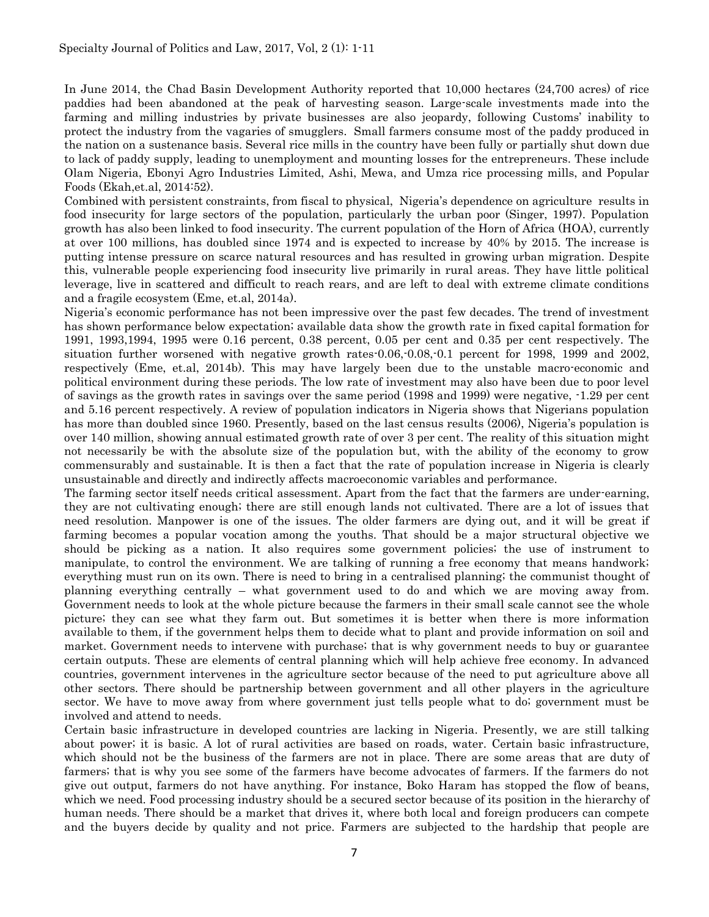In June 2014, the Chad Basin Development Authority reported that 10,000 hectares (24,700 acres) of rice paddies had been abandoned at the peak of harvesting season. Large-scale investments made into the farming and milling industries by private businesses are also jeopardy, following Customs' inability to protect the industry from the vagaries of smugglers. Small farmers consume most of the paddy produced in the nation on a sustenance basis. Several rice mills in the country have been fully or partially shut down due to lack of paddy supply, leading to unemployment and mounting losses for the entrepreneurs. These include Olam Nigeria, Ebonyi Agro Industries Limited, Ashi, Mewa, and Umza rice processing mills, and Popular Foods (Ekah,et.al, 2014:52).

Combined with persistent constraints, from fiscal to physical, Nigeria's dependence on agriculture results in food insecurity for large sectors of the population, particularly the urban poor (Singer, 1997). Population growth has also been linked to food insecurity. The current population of the Horn of Africa (HOA), currently at over 100 millions, has doubled since 1974 and is expected to increase by 40% by 2015. The increase is putting intense pressure on scarce natural resources and has resulted in growing urban migration. Despite this, vulnerable people experiencing food insecurity live primarily in rural areas. They have little political leverage, live in scattered and difficult to reach rears, and are left to deal with extreme climate conditions and a fragile ecosystem (Eme, et.al, 2014a).

Nigeria's economic performance has not been impressive over the past few decades. The trend of investment has shown performance below expectation; available data show the growth rate in fixed capital formation for 1991, 1993,1994, 1995 were 0.16 percent, 0.38 percent, 0.05 per cent and 0.35 per cent respectively. The situation further worsened with negative growth rates-0.06,-0.08,-0.1 percent for 1998, 1999 and 2002, respectively (Eme, et.al, 2014b). This may have largely been due to the unstable macro-economic and political environment during these periods. The low rate of investment may also have been due to poor level of savings as the growth rates in savings over the same period (1998 and 1999) were negative, -1.29 per cent and 5.16 percent respectively. A review of population indicators in Nigeria shows that Nigerians population has more than doubled since 1960. Presently, based on the last census results (2006), Nigeria's population is over 140 million, showing annual estimated growth rate of over 3 per cent. The reality of this situation might not necessarily be with the absolute size of the population but, with the ability of the economy to grow commensurably and sustainable. It is then a fact that the rate of population increase in Nigeria is clearly unsustainable and directly and indirectly affects macroeconomic variables and performance.

The farming sector itself needs critical assessment. Apart from the fact that the farmers are under-earning, they are not cultivating enough; there are still enough lands not cultivated. There are a lot of issues that need resolution. Manpower is one of the issues. The older farmers are dying out, and it will be great if farming becomes a popular vocation among the youths. That should be a major structural objective we should be picking as a nation. It also requires some government policies; the use of instrument to manipulate, to control the environment. We are talking of running a free economy that means handwork; everything must run on its own. There is need to bring in a centralised planning; the communist thought of planning everything centrally – what government used to do and which we are moving away from. Government needs to look at the whole picture because the farmers in their small scale cannot see the whole picture; they can see what they farm out. But sometimes it is better when there is more information available to them, if the government helps them to decide what to plant and provide information on soil and market. Government needs to intervene with purchase; that is why government needs to buy or guarantee certain outputs. These are elements of central planning which will help achieve free economy. In advanced countries, government intervenes in the agriculture sector because of the need to put agriculture above all other sectors. There should be partnership between government and all other players in the agriculture sector. We have to move away from where government just tells people what to do; government must be involved and attend to needs.

Certain basic infrastructure in developed countries are lacking in Nigeria. Presently, we are still talking about power; it is basic. A lot of rural activities are based on roads, water. Certain basic infrastructure, which should not be the business of the farmers are not in place. There are some areas that are duty of farmers; that is why you see some of the farmers have become advocates of farmers. If the farmers do not give out output, farmers do not have anything. For instance, Boko Haram has stopped the flow of beans, which we need. Food processing industry should be a secured sector because of its position in the hierarchy of human needs. There should be a market that drives it, where both local and foreign producers can compete and the buyers decide by quality and not price. Farmers are subjected to the hardship that people are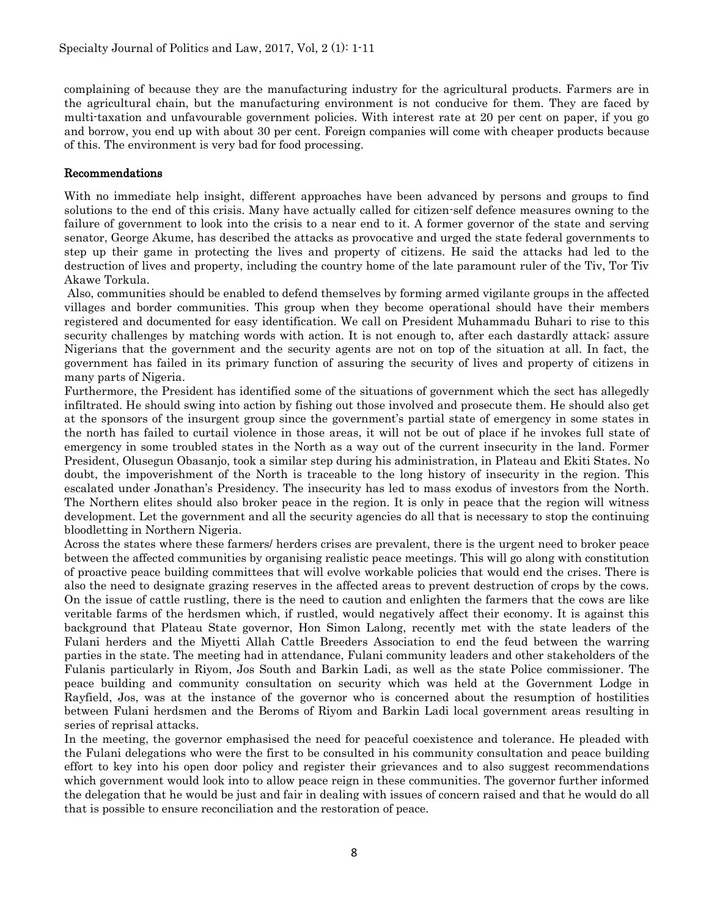complaining of because they are the manufacturing industry for the agricultural products. Farmers are in the agricultural chain, but the manufacturing environment is not conducive for them. They are faced by multi-taxation and unfavourable government policies. With interest rate at 20 per cent on paper, if you go and borrow, you end up with about 30 per cent. Foreign companies will come with cheaper products because of this. The environment is very bad for food processing.

## Recommendations

With no immediate help insight, different approaches have been advanced by persons and groups to find solutions to the end of this crisis. Many have actually called for citizen-self defence measures owning to the failure of government to look into the crisis to a near end to it. A former governor of the state and serving senator, George Akume, has described the attacks as provocative and urged the state federal governments to step up their game in protecting the lives and property of citizens. He said the attacks had led to the destruction of lives and property, including the country home of the late paramount ruler of the Tiv, Tor Tiv Akawe Torkula.

Also, communities should be enabled to defend themselves by forming armed vigilante groups in the affected villages and border communities. This group when they become operational should have their members registered and documented for easy identification. We call on President Muhammadu Buhari to rise to this security challenges by matching words with action. It is not enough to, after each dastardly attack; assure Nigerians that the government and the security agents are not on top of the situation at all. In fact, the government has failed in its primary function of assuring the security of lives and property of citizens in many parts of Nigeria.

Furthermore, the President has identified some of the situations of government which the sect has allegedly infiltrated. He should swing into action by fishing out those involved and prosecute them. He should also get at the sponsors of the insurgent group since the government's partial state of emergency in some states in the north has failed to curtail violence in those areas, it will not be out of place if he invokes full state of emergency in some troubled states in the North as a way out of the current insecurity in the land. Former President, Olusegun Obasanjo, took a similar step during his administration, in Plateau and Ekiti States. No doubt, the impoverishment of the North is traceable to the long history of insecurity in the region. This escalated under Jonathan's Presidency. The insecurity has led to mass exodus of investors from the North. The Northern elites should also broker peace in the region. It is only in peace that the region will witness development. Let the government and all the security agencies do all that is necessary to stop the continuing bloodletting in Northern Nigeria.

Across the states where these farmers/ herders crises are prevalent, there is the urgent need to broker peace between the affected communities by organising realistic peace meetings. This will go along with constitution of proactive peace building committees that will evolve workable policies that would end the crises. There is also the need to designate grazing reserves in the affected areas to prevent destruction of crops by the cows. On the issue of cattle rustling, there is the need to caution and enlighten the farmers that the cows are like veritable farms of the herdsmen which, if rustled, would negatively affect their economy. It is against this background that Plateau State governor, Hon Simon Lalong, recently met with the state leaders of the Fulani herders and the Miyetti Allah Cattle Breeders Association to end the feud between the warring parties in the state. The meeting had in attendance, Fulani community leaders and other stakeholders of the Fulanis particularly in Riyom, Jos South and Barkin Ladi, as well as the state Police commissioner. The peace building and community consultation on security which was held at the Government Lodge in Rayfield, Jos, was at the instance of the governor who is concerned about the resumption of hostilities between Fulani herdsmen and the Beroms of Riyom and Barkin Ladi local government areas resulting in series of reprisal attacks.

In the meeting, the governor emphasised the need for peaceful coexistence and tolerance. He pleaded with the Fulani delegations who were the first to be consulted in his community consultation and peace building effort to key into his open door policy and register their grievances and to also suggest recommendations which government would look into to allow peace reign in these communities. The governor further informed the delegation that he would be just and fair in dealing with issues of concern raised and that he would do all that is possible to ensure reconciliation and the restoration of peace.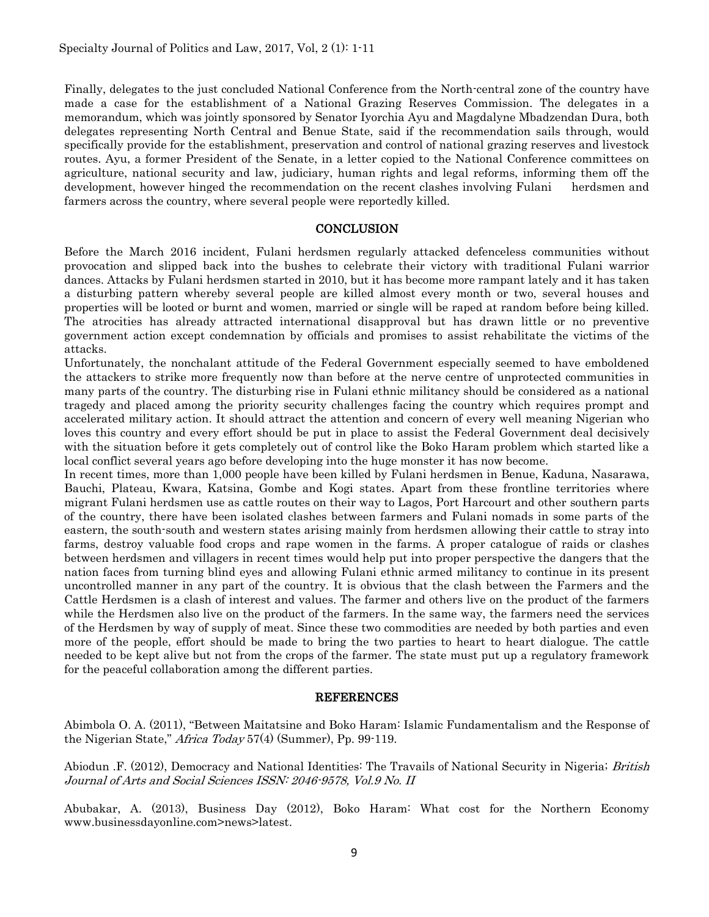Finally, delegates to the just concluded National Conference from the North-central zone of the country have made a case for the establishment of a National Grazing Reserves Commission. The delegates in a memorandum, which was jointly sponsored by Senator Iyorchia Ayu and Magdalyne Mbadzendan Dura, both delegates representing North Central and Benue State, said if the recommendation sails through, would specifically provide for the establishment, preservation and control of national grazing reserves and livestock routes. Ayu, a former President of the Senate, in a letter copied to the National Conference committees on agriculture, national security and law, judiciary, human rights and legal reforms, informing them off the development, however hinged the recommendation on the recent clashes involving Fulani herdsmen and farmers across the country, where several people were reportedly killed.

#### **CONCLUSION**

Before the March 2016 incident, Fulani herdsmen regularly attacked defenceless communities without provocation and slipped back into the bushes to celebrate their victory with traditional Fulani warrior dances. Attacks by Fulani herdsmen started in 2010, but it has become more rampant lately and it has taken a disturbing pattern whereby several people are killed almost every month or two, several houses and properties will be looted or burnt and women, married or single will be raped at random before being killed. The atrocities has already attracted international disapproval but has drawn little or no preventive government action except condemnation by officials and promises to assist rehabilitate the victims of the attacks.

Unfortunately, the nonchalant attitude of the Federal Government especially seemed to have emboldened the attackers to strike more frequently now than before at the nerve centre of unprotected communities in many parts of the country. The disturbing rise in Fulani ethnic militancy should be considered as a national tragedy and placed among the priority security challenges facing the country which requires prompt and accelerated military action. It should attract the attention and concern of every well meaning Nigerian who loves this country and every effort should be put in place to assist the Federal Government deal decisively with the situation before it gets completely out of control like the Boko Haram problem which started like a local conflict several years ago before developing into the huge monster it has now become.

In recent times, more than 1,000 people have been killed by Fulani herdsmen in Benue, Kaduna, Nasarawa, Bauchi, Plateau, Kwara, Katsina, Gombe and Kogi states. Apart from these frontline territories where migrant Fulani herdsmen use as cattle routes on their way to Lagos, Port Harcourt and other southern parts of the country, there have been isolated clashes between farmers and Fulani nomads in some parts of the eastern, the south-south and western states arising mainly from herdsmen allowing their cattle to stray into farms, destroy valuable food crops and rape women in the farms. A proper catalogue of raids or clashes between herdsmen and villagers in recent times would help put into proper perspective the dangers that the nation faces from turning blind eyes and allowing Fulani ethnic armed militancy to continue in its present uncontrolled manner in any part of the country. It is obvious that the clash between the Farmers and the Cattle Herdsmen is a clash of interest and values. The farmer and others live on the product of the farmers while the Herdsmen also live on the product of the farmers. In the same way, the farmers need the services of the Herdsmen by way of supply of meat. Since these two commodities are needed by both parties and even more of the people, effort should be made to bring the two parties to heart to heart dialogue. The cattle needed to be kept alive but not from the crops of the farmer. The state must put up a regulatory framework for the peaceful collaboration among the different parties.

#### REFERENCES

Abimbola O. A. (2011), "Between Maitatsine and Boko Haram: Islamic Fundamentalism and the Response of the Nigerian State," Africa Today 57(4) (Summer), Pp. 99-119.

Abiodun .F. (2012), Democracy and National Identities: The Travails of National Security in Nigeria; *British* Journal of Arts and Social Sciences ISSN: 2046-9578, Vol.9 No. II

Abubakar, A. (2013), Business Day (2012), Boko Haram: What cost for the Northern Economy www.businessdayonline.com>news>latest.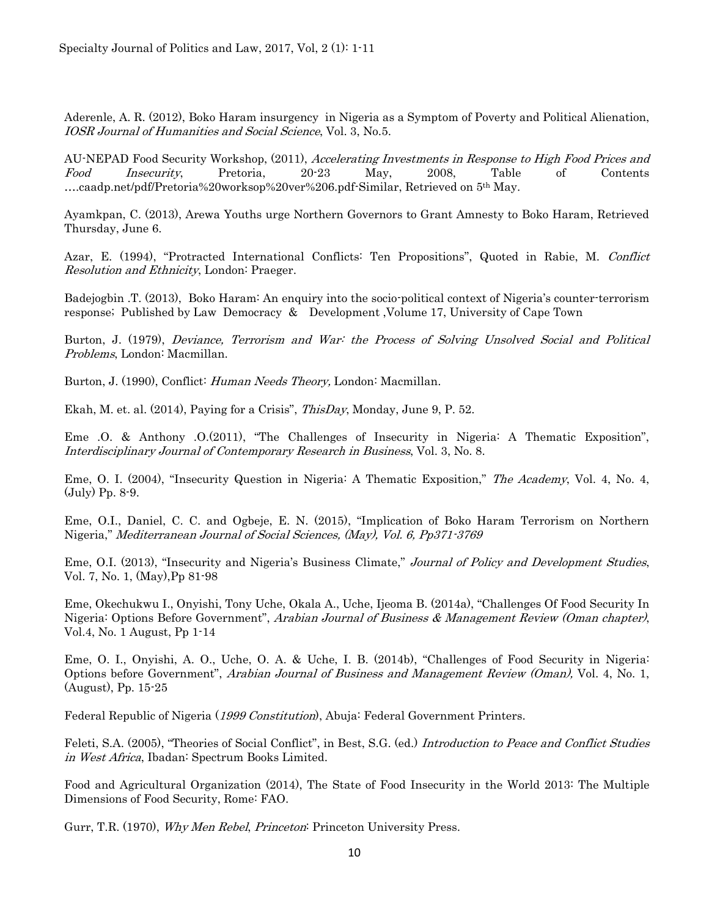Aderenle, A. R. (2012), Boko Haram insurgency in Nigeria as a Symptom of Poverty and Political Alienation, IOSR Journal of Humanities and Social Science, Vol. 3, No.5.

AU-NEPAD Food Security Workshop, (2011), Accelerating Investments in Response to High Food Prices and Food Insecurity, Pretoria, 20-23 May, 2008, Table of Contents ….caadp.net/pdf/Pretoria%20worksop%20ver%206.pdf-Similar, Retrieved on 5th May.

Ayamkpan, C. (2013), Arewa Youths urge Northern Governors to Grant Amnesty to Boko Haram, Retrieved Thursday, June 6.

Azar, E. (1994), "Protracted International Conflicts: Ten Propositions", Quoted in Rabie, M. Conflict Resolution and Ethnicity, London: Praeger.

Badejogbin .T. (2013), Boko Haram: An enquiry into the socio-political context of Nigeria's counter-terrorism response; Published by Law Democracy & Development ,Volume 17, University of Cape Town

Burton, J. (1979), Deviance, Terrorism and War: the Process of Solving Unsolved Social and Political Problems, London: Macmillan.

Burton, J. (1990), Conflict: Human Needs Theory, London: Macmillan.

Ekah, M. et. al. (2014), Paying for a Crisis", ThisDay, Monday, June 9, P. 52.

Eme .O. & Anthony .O.(2011), "The Challenges of Insecurity in Nigeria: A Thematic Exposition", Interdisciplinary Journal of Contemporary Research in Business, Vol. 3, No. 8.

Eme, O. I. (2004), "Insecurity Question in Nigeria: A Thematic Exposition," The Academy, Vol. 4, No. 4, (July) Pp. 8-9.

Eme, O.I., Daniel, C. C. and Ogbeje, E. N. (2015), "Implication of Boko Haram Terrorism on Northern Nigeria," Mediterranean Journal of Social Sciences, (May), Vol. 6, Pp371-3769

Eme, O.I. (2013), "Insecurity and Nigeria's Business Climate," Journal of Policy and Development Studies, Vol. 7, No. 1, (May),Pp 81-98

Eme, Okechukwu I., Onyishi, Tony Uche, Okala A., Uche, Ijeoma B. (2014a), "Challenges Of Food Security In Nigeria: Options Before Government", Arabian Journal of Business & Management Review (Oman chapter), Vol.4, No. 1 August, Pp 1-14

Eme, O. I., Onyishi, A. O., Uche, O. A. & Uche, I. B. (2014b), "Challenges of Food Security in Nigeria: Options before Government", Arabian Journal of Business and Management Review (Oman), Vol. 4, No. 1, (August), Pp. 15-25

Federal Republic of Nigeria (1999 Constitution), Abuja: Federal Government Printers.

Feleti, S.A. (2005), "Theories of Social Conflict", in Best, S.G. (ed.) Introduction to Peace and Conflict Studies in West Africa, Ibadan: Spectrum Books Limited.

Food and Agricultural Organization (2014), The State of Food Insecurity in the World 2013: The Multiple Dimensions of Food Security, Rome: FAO.

Gurr, T.R. (1970), Why Men Rebel, Princeton: Princeton University Press.